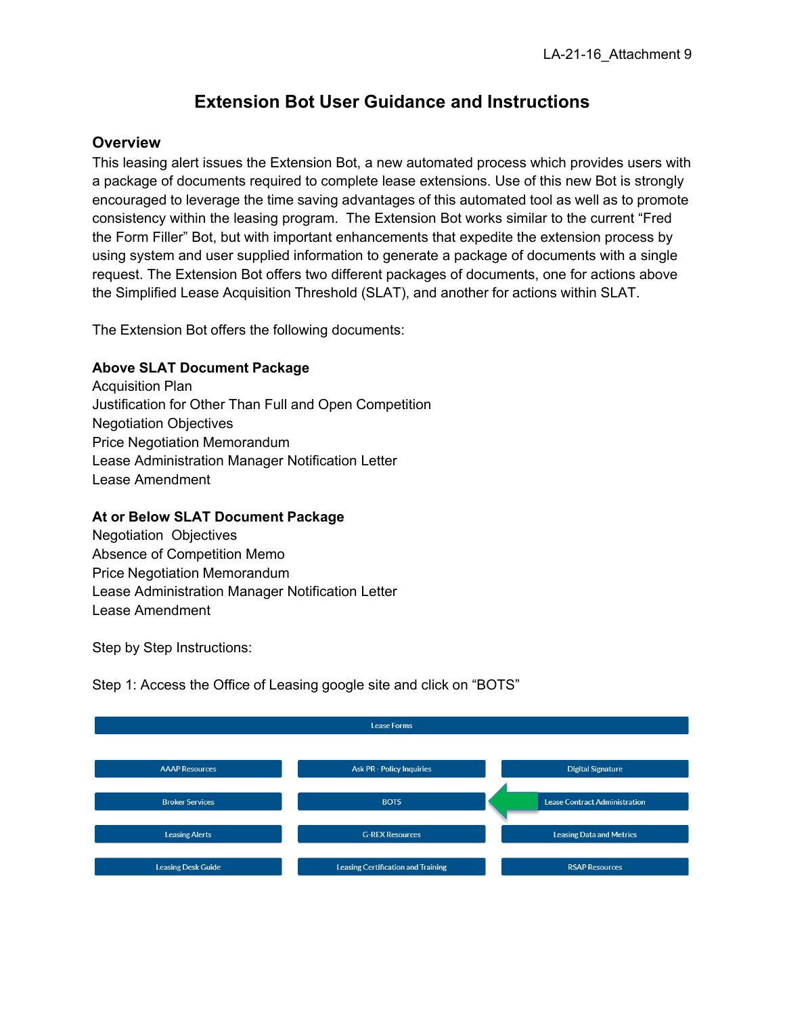# **Extension Bot User Guidance and Instructions**

## **Overview**

This leasing alert issues the Extension Bot, a new automated process which provides users with a package of documents required to complete lease extensions. Use of this new Bot is strongly encouraged to leverage the time saving advantages of this automated tool as well as to promote consistency within the leasing program. The Extension Bot works similar to the current "Fred the Form Filler" Bot, but with important enhancements that expedite the extension process by using system and user supplied information to generate a package of documents with a single request. The Extension Bot offers two different packages of documents, one for actions above the Simplified Lease Acquisition Threshold (SLAT), and another for actions within SLAT.

The Extension Bot offers the following documents:

### **Above SLAT Document Package**

Acquisition Plan Justification for Other Than Full and Open Competition Negotiation Objectives Price Negotiation Memorandum Lease Administration Manager Notification Letter Lease Amendment

## **At or Below SLAT Document Package**

Negotiation Objectives Absence of Competition Memo Price Negotiation Memorandum Lease Administration Manager Notification Letter Lease Amendment

Step by Step Instructions:

Step 1: Access the Office of Leasing google site and click on "BOTS"

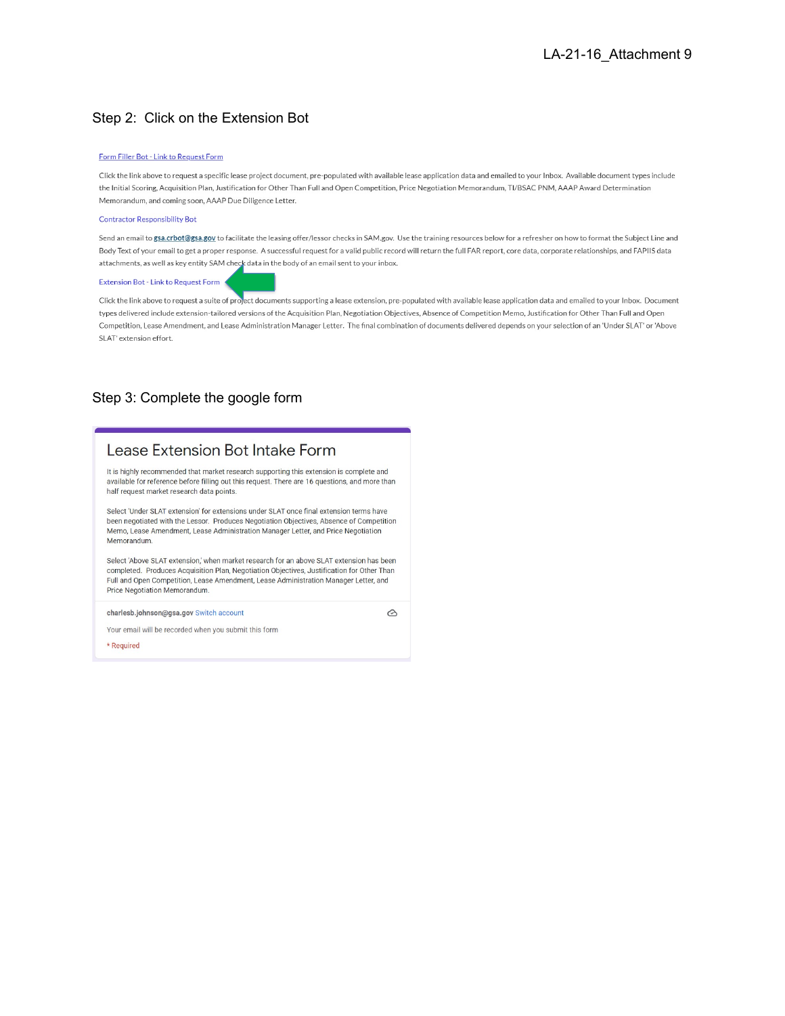### Step 2: Click on the Extension Bot

#### Form Filler Bot - Link to Request Form

Click the link above to request a specific lease project document, pre-populated with available lease application data and emailed to your Inbox. Available document types include the Initial Scoring, Acquisition Plan, Justification for Other Than Full and Open Competition, Price Negotiation Memorandum, TI/BSAC PNM, AAAP Award Determination Memorandum, and coming soon, AAAP Due Diligence Letter.

#### **Contractor Responsibility Bot**

Send an email to gsa.crbot@gsa.gov to facilitate the leasing offer/lessor checks in SAM.gov. Use the training resources below for a refresher on how to format the Subject Line and Body Text of your email to get a proper response. A successful request for a valid public record will return the full FAR report, core data, corporate relationships, and FAPIIS data attachments, as well as key entity SAM check data in the body of an email sent to your inbox.

#### Extension Bot - Link to Request Form

Click the link above to request a suite of project documents supporting a lease extension, pre-populated with available lease application data and emailed to your Inbox. Document types delivered include extension-tailored versions of the Acquisition Plan, Negotiation Objectives, Absence of Competition Memo, Justification for Other Than Full and Open Competition, Lease Amendment, and Lease Administration Manager Letter. The final combination of documents delivered depends on your selection of an 'Under SLAT' or 'Above SLAT' extension effort.

### Step 3: Complete the google form

# Lease Extension Bot Intake Form

It is highly recommended that market research supporting this extension is complete and available for reference before filling out this request. There are 16 questions, and more than half request market research data points.

Select 'Under SLAT extension' for extensions under SLAT once final extension terms have been negotiated with the Lessor. Produces Negotiation Objectives, Absence of Competition Memo, Lease Amendment, Lease Administration Manager Letter, and Price Negotiation Memorandum.

Select 'Above SLAT extension,' when market research for an above SLAT extension has been completed. Produces Acquisition Plan, Negotiation Objectives, Justification for Other Than Full and Open Competition, Lease Amendment, Lease Administration Manager Letter, and Price Negotiation Memorandum.

charlesb.johnson@gsa.gov Switch account

⊙

Your email will be recorded when you submit this form

\* Required